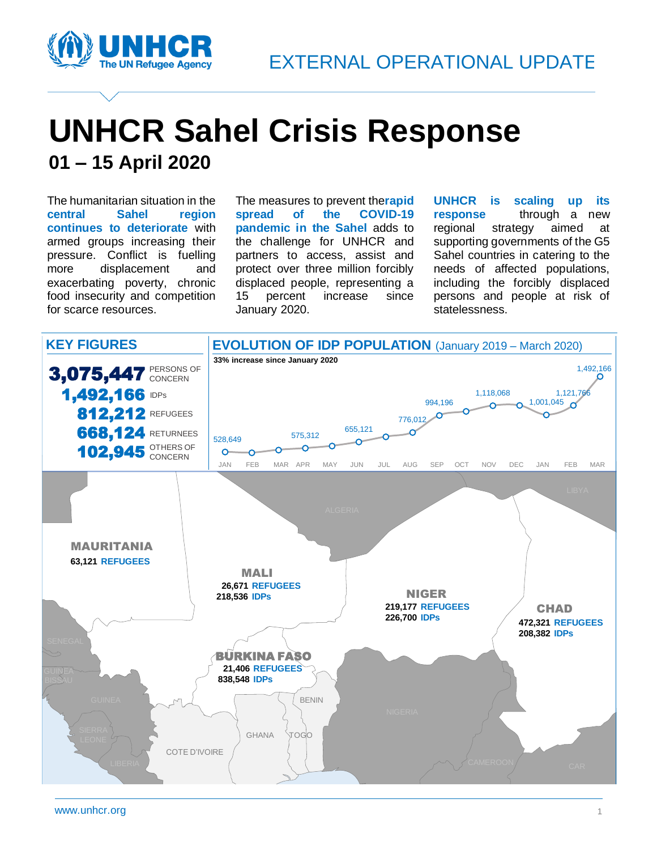

# **UNHCR Sahel Crisis Response 01 – 15 April 2020**

The humanitarian situation in the **central Sahel region continues to deteriorate** with armed groups increasing their pressure. Conflict is fuelling more displacement and exacerbating poverty, chronic food insecurity and competition for scarce resources.

The measures to prevent the**rapid spread of the COVID-19 pandemic in the Sahel** adds to the challenge for UNHCR and partners to access, assist and protect over three million forcibly displaced people, representing a 15 percent increase since January 2020.

**UNHCR is scaling up its response** through a new regional strategy aimed at supporting governments of the G5 Sahel countries in catering to the needs of affected populations, including the forcibly displaced persons and people at risk of statelessness.

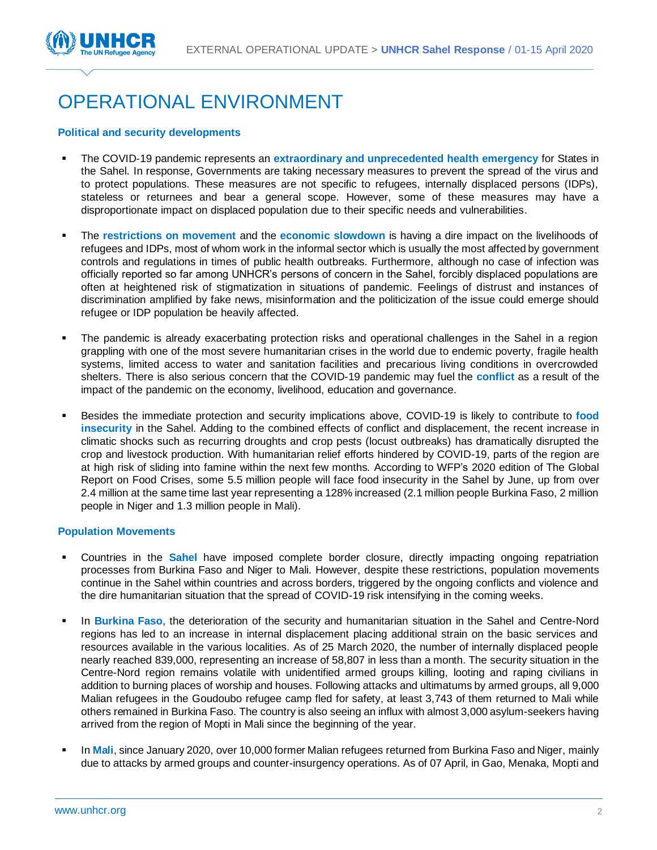

## OPERATIONAL ENVIRONMENT

#### **Political and security developments**

- The COVID-19 pandemic represents an **extraordinary and unprecedented health emergency** for States in the Sahel. In response, Governments are taking necessary measures to prevent the spread of the virus and to protect populations. These measures are not specific to refugees, internally displaced persons (IDPs), stateless or returnees and bear a general scope. However, some of these measures may have a disproportionate impact on displaced population due to their specific needs and vulnerabilities.
- The **restrictions on movement** and the **economic slowdown** is having a dire impact on the livelihoods of refugees and IDPs, most of whom work in the informal sector which is usually the most affected by government controls and regulations in times of public health outbreaks. Furthermore, although no case of infection was officially reported so far among UNHCR's persons of concern in the Sahel, forcibly displaced populations are often at heightened risk of stigmatization in situations of pandemic. Feelings of distrust and instances of discrimination amplified by fake news, misinformation and the politicization of the issue could emerge should refugee or IDP population be heavily affected.
- The pandemic is already exacerbating protection risks and operational challenges in the Sahel in a region grappling with one of the most severe humanitarian crises in the world due to endemic poverty, fragile health systems, limited access to water and sanitation facilities and precarious living conditions in overcrowded shelters. There is also serious concern that the COVID-19 pandemic may fuel the **conflict** as a result of the impact of the pandemic on the economy, livelihood, education and governance.
- Besides the immediate protection and security implications above, COVID-19 is likely to contribute to **food insecurity** in the Sahel. Adding to the combined effects of conflict and displacement, the recent increase in climatic shocks such as recurring droughts and crop pests (locust outbreaks) has dramatically disrupted the crop and livestock production. With humanitarian relief efforts hindered by COVID-19, parts of the region are at high risk of sliding into famine within the next few months. According to WFP's 2020 edition of The Global Report on Food Crises, some 5.5 million people will face food insecurity in the Sahel by June, up from over 2.4 million at the same time last year representing a 128% increased (2.1 million people Burkina Faso, 2 million people in Niger and 1.3 million people in Mali).

#### **Population Movements**

- Countries in the **Sahel** have imposed complete border closure, directly impacting ongoing repatriation processes from Burkina Faso and Niger to Mali. However, despite these restrictions, population movements continue in the Sahel within countries and across borders, triggered by the ongoing conflicts and violence and the dire humanitarian situation that the spread of COVID-19 risk intensifying in the coming weeks.
- In **Burkina Faso**, the deterioration of the security and humanitarian situation in the Sahel and Centre-Nord regions has led to an increase in internal displacement placing additional strain on the basic services and resources available in the various localities. As of 25 March 2020, the number of internally displaced people nearly reached 839,000, representing an increase of 58,807 in less than a month. The security situation in the Centre-Nord region remains volatile with unidentified armed groups killing, looting and raping civilians in addition to burning places of worship and houses. Following attacks and ultimatums by armed groups, all 9,000 Malian refugees in the Goudoubo refugee camp fled for safety, at least 3,743 of them returned to Mali while others remained in Burkina Faso. The country is also seeing an influx with almost 3,000 asylum-seekers having arrived from the region of Mopti in Mali since the beginning of the year.
- In Mali, since January 2020, over 10,000 former Malian refugees returned from Burkina Faso and Niger, mainly due to attacks by armed groups and counter-insurgency operations. As of 07 April, in Gao, Menaka, Mopti and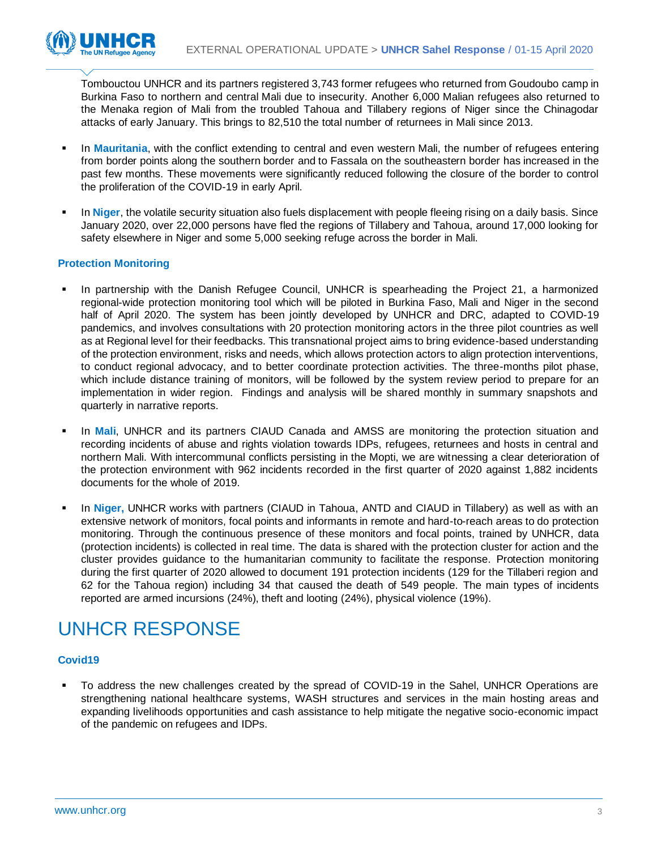

Tombouctou UNHCR and its partners registered 3,743 former refugees who returned from Goudoubo camp in Burkina Faso to northern and central Mali due to insecurity. Another 6,000 Malian refugees also returned to the Menaka region of Mali from the troubled Tahoua and Tillabery regions of Niger since the Chinagodar attacks of early January. This brings to 82,510 the total number of returnees in Mali since 2013.

- In **Mauritania**, with the conflict extending to central and even western Mali, the number of refugees entering from border points along the southern border and to Fassala on the southeastern border has increased in the past few months. These movements were significantly reduced following the closure of the border to control the proliferation of the COVID-19 in early April.
- In Niger, the volatile security situation also fuels displacement with people fleeing rising on a daily basis. Since January 2020, over 22,000 persons have fled the regions of Tillabery and Tahoua, around 17,000 looking for safety elsewhere in Niger and some 5,000 seeking refuge across the border in Mali.

### **Protection Monitoring**

- In partnership with the Danish Refugee Council, UNHCR is spearheading the Project 21, a harmonized regional-wide protection monitoring tool which will be piloted in Burkina Faso, Mali and Niger in the second half of April 2020. The system has been jointly developed by UNHCR and DRC, adapted to COVID-19 pandemics, and involves consultations with 20 protection monitoring actors in the three pilot countries as well as at Regional level for their feedbacks. This transnational project aims to bring evidence-based understanding of the protection environment, risks and needs, which allows protection actors to align protection interventions, to conduct regional advocacy, and to better coordinate protection activities. The three-months pilot phase, which include distance training of monitors, will be followed by the system review period to prepare for an implementation in wider region. Findings and analysis will be shared monthly in summary snapshots and quarterly in narrative reports.
- In Mali, UNHCR and its partners CIAUD Canada and AMSS are monitoring the protection situation and recording incidents of abuse and rights violation towards IDPs, refugees, returnees and hosts in central and northern Mali. With intercommunal conflicts persisting in the Mopti, we are witnessing a clear deterioration of the protection environment with 962 incidents recorded in the first quarter of 2020 against 1,882 incidents documents for the whole of 2019.
- In Niger, UNHCR works with partners (CIAUD in Tahoua, ANTD and CIAUD in Tillabery) as well as with an extensive network of monitors, focal points and informants in remote and hard-to-reach areas to do protection monitoring. Through the continuous presence of these monitors and focal points, trained by UNHCR, data (protection incidents) is collected in real time. The data is shared with the protection cluster for action and the cluster provides guidance to the humanitarian community to facilitate the response. Protection monitoring during the first quarter of 2020 allowed to document 191 protection incidents (129 for the Tillaberi region and 62 for the Tahoua region) including 34 that caused the death of 549 people. The main types of incidents reported are armed incursions (24%), theft and looting (24%), physical violence (19%).

### UNHCR RESPONSE

### **Covid19**

To address the new challenges created by the spread of COVID-19 in the Sahel, UNHCR Operations are strengthening national healthcare systems, WASH structures and services in the main hosting areas and expanding livelihoods opportunities and cash assistance to help mitigate the negative socio-economic impact of the pandemic on refugees and IDPs.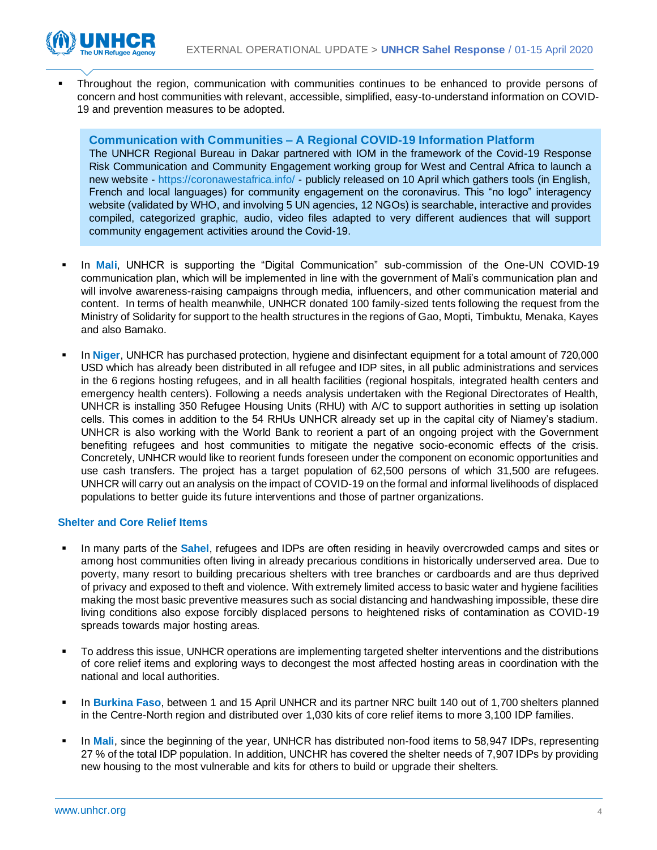

Throughout the region, communication with communities continues to be enhanced to provide persons of concern and host communities with relevant, accessible, simplified, easy-to-understand information on COVID-19 and prevention measures to be adopted.

**Communication with Communities – A Regional COVID-19 Information Platform**

The UNHCR Regional Bureau in Dakar partnered with IOM in the framework of the Covid-19 Response Risk Communication and Community Engagement working group for West and Central Africa to launch a new website - <https://coronawestafrica.info/> - publicly released on 10 April which gathers tools (in English, French and local languages) for community engagement on the coronavirus. This "no logo" interagency website (validated by WHO, and involving 5 UN agencies, 12 NGOs) is searchable, interactive and provides compiled, categorized graphic, audio, video files adapted to very different audiences that will support community engagement activities around the Covid-19.

- In Mali, UNHCR is supporting the "Digital Communication" sub-commission of the One-UN COVID-19 communication plan, which will be implemented in line with the government of Mali's communication plan and will involve awareness-raising campaigns through media, influencers, and other communication material and content. In terms of health meanwhile, UNHCR donated 100 family-sized tents following the request from the Ministry of Solidarity for support to the health structures in the regions of Gao, Mopti, Timbuktu, Menaka, Kayes and also Bamako.
- In **Niger**, UNHCR has purchased protection, hygiene and disinfectant equipment for a total amount of 720,000 USD which has already been distributed in all refugee and IDP sites, in all public administrations and services in the 6 regions hosting refugees, and in all health facilities (regional hospitals, integrated health centers and emergency health centers). Following a needs analysis undertaken with the Regional Directorates of Health, UNHCR is installing 350 Refugee Housing Units (RHU) with A/C to support authorities in setting up isolation cells. This comes in addition to the 54 RHUs UNHCR already set up in the capital city of Niamey's stadium. UNHCR is also working with the World Bank to reorient a part of an ongoing project with the Government benefiting refugees and host communities to mitigate the negative socio-economic effects of the crisis. Concretely, UNHCR would like to reorient funds foreseen under the component on economic opportunities and use cash transfers. The project has a target population of 62,500 persons of which 31,500 are refugees. UNHCR will carry out an analysis on the impact of COVID-19 on the formal and informal livelihoods of displaced populations to better guide its future interventions and those of partner organizations.

#### **Shelter and Core Relief Items**

- In many parts of the **Sahel**, refugees and IDPs are often residing in heavily overcrowded camps and sites or among host communities often living in already precarious conditions in historically underserved area. Due to poverty, many resort to building precarious shelters with tree branches or cardboards and are thus deprived of privacy and exposed to theft and violence. With extremely limited access to basic water and hygiene facilities making the most basic preventive measures such as social distancing and handwashing impossible, these dire living conditions also expose forcibly displaced persons to heightened risks of contamination as COVID-19 spreads towards major hosting areas.
- To address this issue, UNHCR operations are implementing targeted shelter interventions and the distributions of core relief items and exploring ways to decongest the most affected hosting areas in coordination with the national and local authorities.
- In **Burkina Faso**, between 1 and 15 April UNHCR and its partner NRC built 140 out of 1,700 shelters planned in the Centre-North region and distributed over 1,030 kits of core relief items to more 3,100 IDP families.
- In Mali, since the beginning of the year, UNHCR has distributed non-food items to 58,947 IDPs, representing 27 % of the total IDP population. In addition, UNCHR has covered the shelter needs of 7,907 IDPs by providing new housing to the most vulnerable and kits for others to build or upgrade their shelters.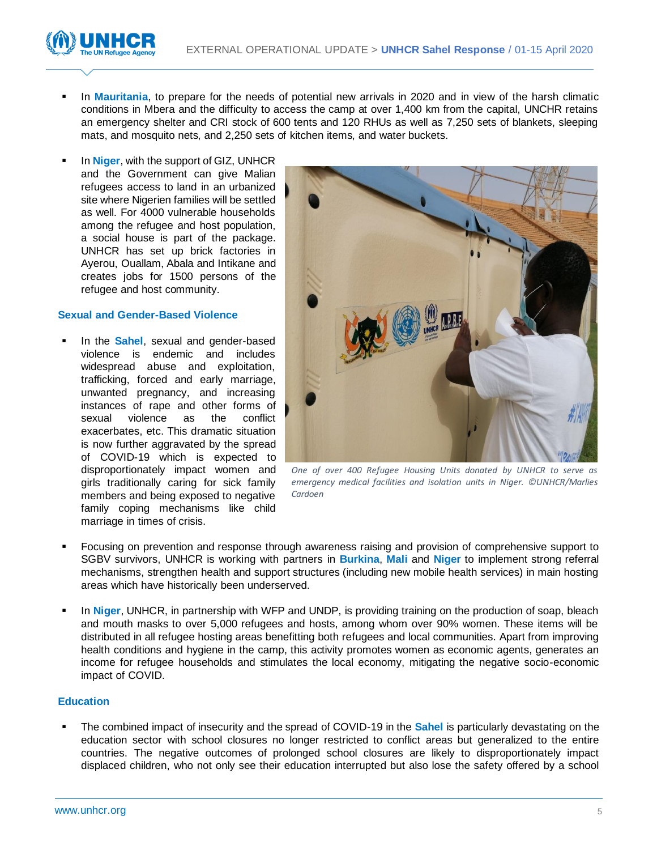

- In Mauritania, to prepare for the needs of potential new arrivals in 2020 and in view of the harsh climatic conditions in Mbera and the difficulty to access the camp at over 1,400 km from the capital, UNCHR retains an emergency shelter and CRI stock of 600 tents and 120 RHUs as well as 7,250 sets of blankets, sleeping mats, and mosquito nets, and 2,250 sets of kitchen items, and water buckets.
- In **Niger**, with the support of GIZ, UNHCR and the Government can give Malian refugees access to land in an urbanized site where Nigerien families will be settled as well. For 4000 vulnerable households among the refugee and host population, a social house is part of the package. UNHCR has set up brick factories in Ayerou, Ouallam, Abala and Intikane and creates jobs for 1500 persons of the refugee and host community.

#### **Sexual and Gender-Based Violence**

In the **Sahel**, sexual and gender-based violence is endemic and includes widespread abuse and exploitation, trafficking, forced and early marriage, unwanted pregnancy, and increasing instances of rape and other forms of sexual violence as the conflict exacerbates, etc. This dramatic situation is now further aggravated by the spread of COVID-19 which is expected to disproportionately impact women and girls traditionally caring for sick family members and being exposed to negative family coping mechanisms like child marriage in times of crisis.



*One of over 400 Refugee Housing Units donated by UNHCR to serve as emergency medical facilities and isolation units in Niger. ©UNHCR/Marlies Cardoen*

- Focusing on prevention and response through awareness raising and provision of comprehensive support to SGBV survivors, UNHCR is working with partners in **Burkina**, **Mali** and **Niger** to implement strong referral mechanisms, strengthen health and support structures (including new mobile health services) in main hosting areas which have historically been underserved.
- In **Niger**, UNHCR, in partnership with WFP and UNDP, is providing training on the production of soap, bleach and mouth masks to over 5,000 refugees and hosts, among whom over 90% women. These items will be distributed in all refugee hosting areas benefitting both refugees and local communities. Apart from improving health conditions and hygiene in the camp, this activity promotes women as economic agents, generates an income for refugee households and stimulates the local economy, mitigating the negative socio-economic impact of COVID.

#### **Education**

The combined impact of insecurity and the spread of COVID-19 in the **Sahel** is particularly devastating on the education sector with school closures no longer restricted to conflict areas but generalized to the entire countries. The negative outcomes of prolonged school closures are likely to disproportionately impact displaced children, who not only see their education interrupted but also lose the safety offered by a school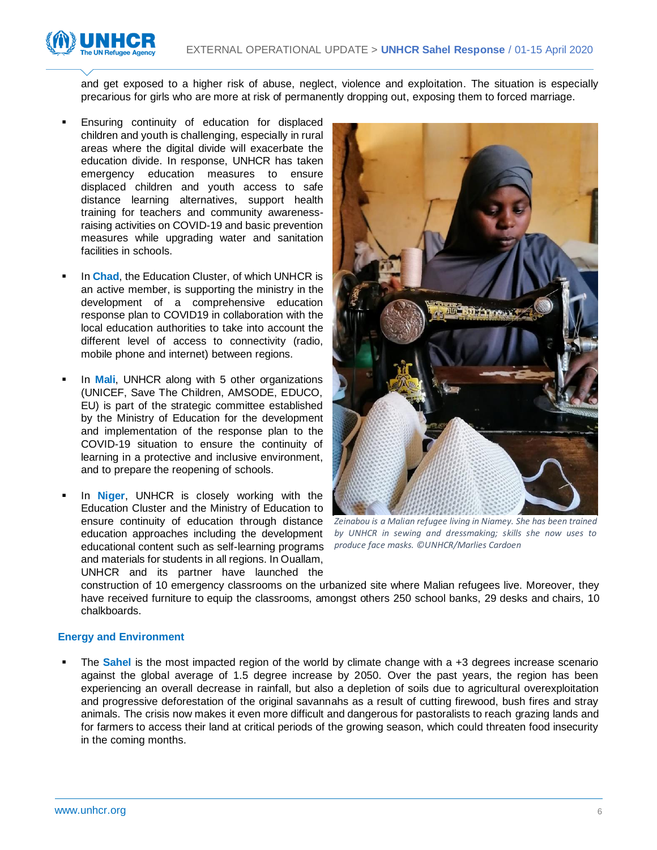



and get exposed to a higher risk of abuse, neglect, violence and exploitation. The situation is especially precarious for girls who are more at risk of permanently dropping out, exposing them to forced marriage.

- Ensuring continuity of education for displaced children and youth is challenging, especially in rural areas where the digital divide will exacerbate the education divide. In response, UNHCR has taken emergency education measures to ensure displaced children and youth access to safe distance learning alternatives, support health training for teachers and community awarenessraising activities on COVID-19 and basic prevention measures while upgrading water and sanitation facilities in schools.
- In **Chad**, the Education Cluster, of which UNHCR is an active member, is supporting the ministry in the development of a comprehensive education response plan to COVID19 in collaboration with the local education authorities to take into account the different level of access to connectivity (radio, mobile phone and internet) between regions.
- In **Mali**, UNHCR along with 5 other organizations (UNICEF, Save The Children, AMSODE, EDUCO, EU) is part of the strategic committee established by the Ministry of Education for the development and implementation of the response plan to the COVID-19 situation to ensure the continuity of learning in a protective and inclusive environment, and to prepare the reopening of schools.
- In **Niger**, UNHCR is closely working with the Education Cluster and the Ministry of Education to ensure continuity of education through distance education approaches including the development educational content such as self-learning programs and materials for students in all regions. In Ouallam, UNHCR and its partner have launched the



*Zeinabou is a Malian refugee living in Niamey. She has been trained by UNHCR in sewing and dressmaking; skills she now uses to produce face masks. ©UNHCR/Marlies Cardoen*

construction of 10 emergency classrooms on the urbanized site where Malian refugees live. Moreover, they have received furniture to equip the classrooms, amongst others 250 school banks, 29 desks and chairs, 10 chalkboards.

### **Energy and Environment**

The **Sahel** is the most impacted region of the world by climate change with a +3 degrees increase scenario against the global average of 1.5 degree increase by 2050. Over the past years, the region has been experiencing an overall decrease in rainfall, but also a depletion of soils due to agricultural overexploitation and progressive deforestation of the original savannahs as a result of cutting firewood, bush fires and stray animals. The crisis now makes it even more difficult and dangerous for pastoralists to reach grazing lands and for farmers to access their land at critical periods of the growing season, which could threaten food insecurity in the coming months.